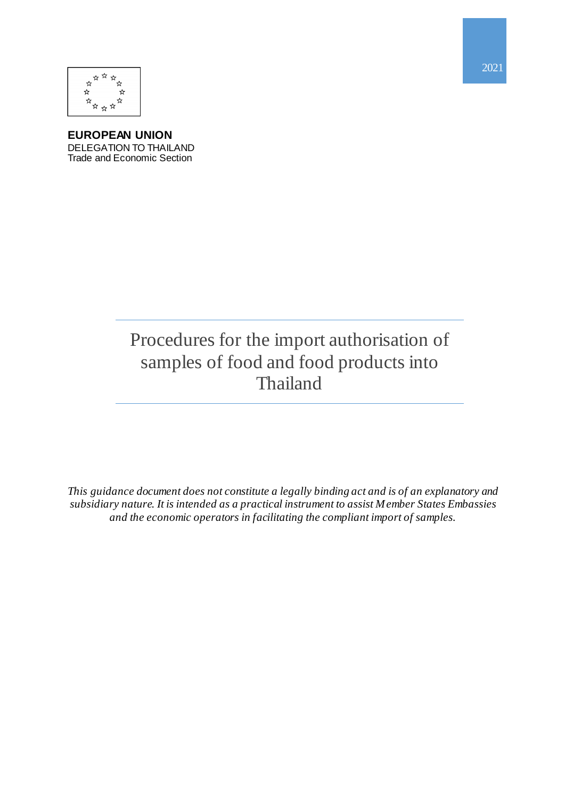

**EUROPEAN UNION** DELEGATION TO THAILAND Trade and Economic Section

> Procedures for the import authorisation of samples of food and food products into Thailand

*This guidance document does not constitute a legally binding act and is of an explanatory and subsidiary nature. It is intended as a practical instrument to assist Member States Embassies and the economic operators in facilitating the compliant import of samples.*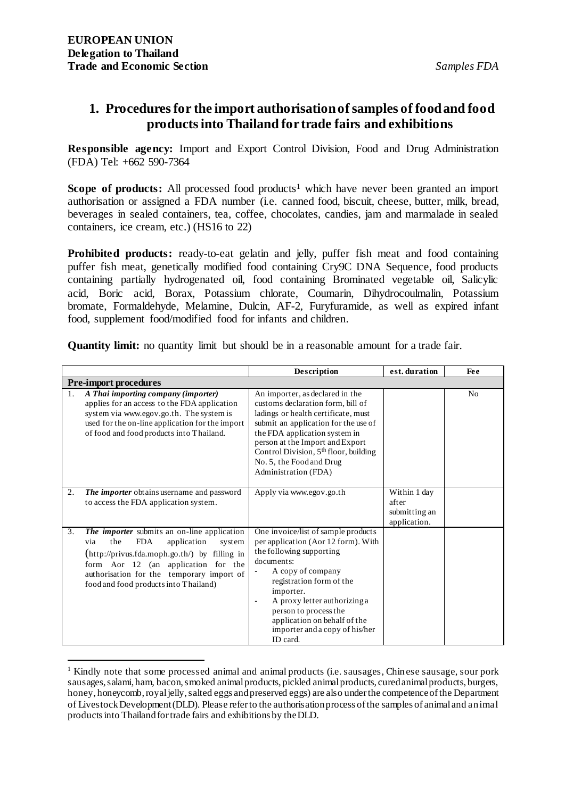1

## **1. Procedures for the import authorisation of samples of food and food products into Thailand for trade fairs and exhibitions**

**Responsible agency:** Import and Export Control Division, Food and Drug Administration (FDA) Tel: +662 590-7364

**Scope of products:** All processed food products<sup>1</sup> which have never been granted an import authorisation or assigned a FDA number (i.e. canned food, biscuit, cheese, butter, milk, bread, beverages in sealed containers, tea, coffee, chocolates, candies, jam and marmalade in sealed containers, ice cream, etc.) (HS16 to 22)

**Prohibited products:** ready-to-eat gelatin and jelly, puffer fish meat and food containing puffer fish meat, genetically modified food containing Cry9C DNA Sequence, food products containing partially hydrogenated oil, food containing Brominated vegetable oil, Salicylic acid, Boric acid, Borax, Potassium chlorate, Coumarin, Dihydrocoulmalin, Potassium bromate, Formaldehyde, Melamine, Dulcin, AF-2, Furyfuramide, as well as expired infant food, supplement food/modified food for infants and children.

|                              |                                                                                                                                                                                                                                                                                   | Description                                                                                                                                                                                                                                                                                                               | est. duration                                          | Fee            |  |
|------------------------------|-----------------------------------------------------------------------------------------------------------------------------------------------------------------------------------------------------------------------------------------------------------------------------------|---------------------------------------------------------------------------------------------------------------------------------------------------------------------------------------------------------------------------------------------------------------------------------------------------------------------------|--------------------------------------------------------|----------------|--|
| <b>Pre-import procedures</b> |                                                                                                                                                                                                                                                                                   |                                                                                                                                                                                                                                                                                                                           |                                                        |                |  |
| 1.                           | A Thai importing company (importer)<br>applies for an access to the FDA application<br>system via www.egov.go.th. The system is<br>used for the on-line application for the import<br>of food and food products into Thailand.                                                    | An importer, as declared in the<br>customs declaration form, bill of<br>ladings or health certificate, must<br>submit an application for the use of<br>the FDA application system in<br>person at the Import and Export<br>Control Division, $5th$ floor, building<br>No. 5, the Food and Drug<br>Administration (FDA)    |                                                        | N <sub>0</sub> |  |
| 2.                           | The importer obtains username and password<br>to access the FDA application system.                                                                                                                                                                                               | Apply via www.egov.go.th                                                                                                                                                                                                                                                                                                  | Within 1 day<br>after<br>submitting an<br>application. |                |  |
| 3.                           | The importer submits an on-line application<br><b>FDA</b><br>the<br>application<br>system<br>via<br>$(http://privus.fda.moph.gov.th/)$ by filling in<br>form Aor 12 (an application for the<br>authorisation for the temporary import of<br>food and food products into Thailand) | One invoice/list of sample products<br>per application (Aor 12 form). With<br>the following supporting<br>documents:<br>A copy of company<br>registration form of the<br>importer.<br>A proxy letter authorizing a<br>person to process the<br>application on behalf of the<br>importer and a copy of his/her<br>ID card. |                                                        |                |  |

**Quantity limit:** no quantity limit but should be in a reasonable amount for a trade fair.

<sup>&</sup>lt;sup>1</sup> Kindly note that some processed animal and animal products (i.e. sausages, Chin ese sausage, sour pork sausages, salami, ham, bacon, smoked animal products, pickled animal products, cured animal products, burgers, honey, honeycomb, royal jelly, salted eggs and preserved eggs) are also under the competence of the Department of Livestock Development (DLD). Please refer to the authorisation process of the samples of animal and animal products into Thailand for trade fairs and exhibitions by the DLD.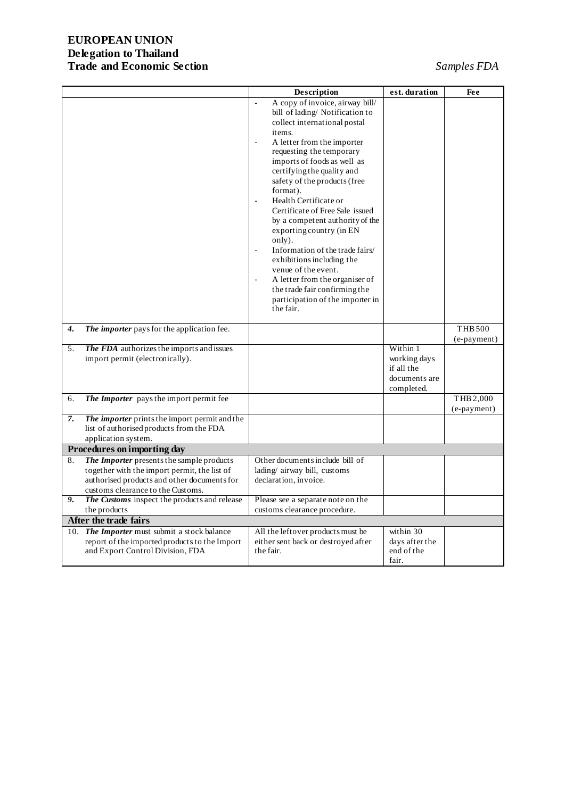## **EUROPEAN UNION Delegation to Thailand Trade and Economic Section** *Samples FDA*

|                             |                                                                                                                                                                               | Description                                                                                                                                                                                                                                                                                                                                                                                                                                                                                                                                                                                                                                                        | est. duration                                                         | Fee                           |  |  |
|-----------------------------|-------------------------------------------------------------------------------------------------------------------------------------------------------------------------------|--------------------------------------------------------------------------------------------------------------------------------------------------------------------------------------------------------------------------------------------------------------------------------------------------------------------------------------------------------------------------------------------------------------------------------------------------------------------------------------------------------------------------------------------------------------------------------------------------------------------------------------------------------------------|-----------------------------------------------------------------------|-------------------------------|--|--|
|                             |                                                                                                                                                                               | A copy of invoice, airway bill/<br>$\overline{a}$<br>bill of lading/Notification to<br>collect international postal<br>items.<br>A letter from the importer<br>requesting the temporary<br>imports of foods as well as<br>certifying the quality and<br>safety of the products (free<br>format).<br>Health Certificate or<br>Certificate of Free Sale issued<br>by a competent authority of the<br>exporting country (in EN<br>only).<br>Information of the trade fairs/<br>exhibitions including the<br>venue of the event.<br>A letter from the organiser of<br>$\overline{a}$<br>the trade fair confirming the<br>participation of the importer in<br>the fair. |                                                                       |                               |  |  |
| 4.                          | The importer pays for the application fee.                                                                                                                                    |                                                                                                                                                                                                                                                                                                                                                                                                                                                                                                                                                                                                                                                                    |                                                                       | <b>THB 500</b><br>(e-payment) |  |  |
| 5.                          | The FDA authorizes the imports and issues<br>import permit (electronically).                                                                                                  |                                                                                                                                                                                                                                                                                                                                                                                                                                                                                                                                                                                                                                                                    | Within 1<br>working days<br>if all the<br>documents are<br>completed. |                               |  |  |
| 6.                          | The Importer pays the import permit fee                                                                                                                                       |                                                                                                                                                                                                                                                                                                                                                                                                                                                                                                                                                                                                                                                                    |                                                                       | THB 2,000<br>(e-payment)      |  |  |
| 7.                          | The importer prints the import permit and the<br>list of authorised products from the FDA<br>application system.                                                              |                                                                                                                                                                                                                                                                                                                                                                                                                                                                                                                                                                                                                                                                    |                                                                       |                               |  |  |
| Procedures on importing day |                                                                                                                                                                               |                                                                                                                                                                                                                                                                                                                                                                                                                                                                                                                                                                                                                                                                    |                                                                       |                               |  |  |
| 8.                          | The Importer presents the sample products<br>together with the import permit, the list of<br>authorised products and other documents for<br>customs clearance to the Customs. | Other documents include bill of<br>lading/airway bill, customs<br>declaration, invoice.                                                                                                                                                                                                                                                                                                                                                                                                                                                                                                                                                                            |                                                                       |                               |  |  |
| 9.                          | The Customs inspect the products and release<br>the products                                                                                                                  | Please see a separate note on the<br>customs clearance procedure.                                                                                                                                                                                                                                                                                                                                                                                                                                                                                                                                                                                                  |                                                                       |                               |  |  |
|                             | After the trade fairs                                                                                                                                                         |                                                                                                                                                                                                                                                                                                                                                                                                                                                                                                                                                                                                                                                                    |                                                                       |                               |  |  |
|                             | 10. The Importer must submit a stock balance<br>report of the imported products to the Import<br>and Export Control Division, FDA                                             | All the leftover products must be<br>either sent back or destroyed after<br>the fair.                                                                                                                                                                                                                                                                                                                                                                                                                                                                                                                                                                              | within 30<br>days after the<br>end of the<br>fair.                    |                               |  |  |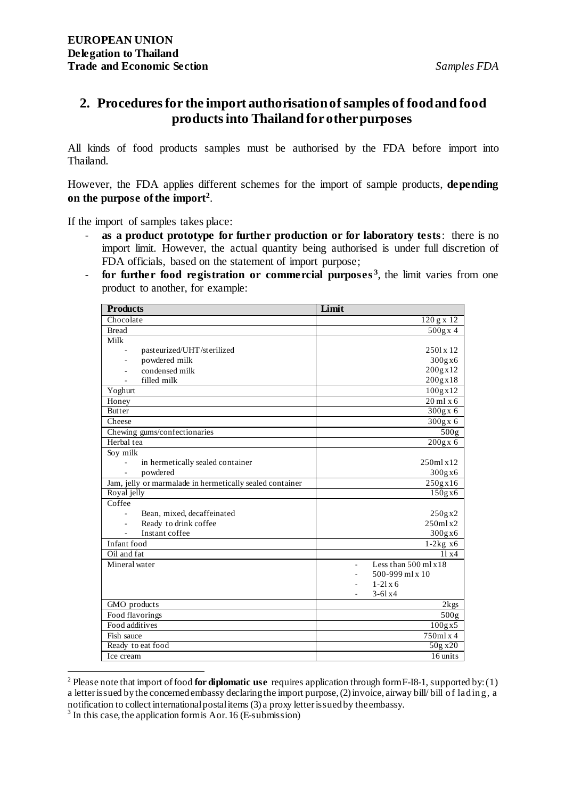## **2. Procedures for the import authorisation of samples of food and food products into Thailand for other purposes**

All kinds of food products samples must be authorised by the FDA before import into Thailand.

However, the FDA applies different schemes for the import of sample products, **depending on the purpose of the import<sup>2</sup>** .

If the import of samples takes place:

- as a product prototype for further production or for laboratory tests: there is no import limit. However, the actual quantity being authorised is under full discretion of FDA officials, based on the statement of import purpose;
- **for further food registration or commercial purposes <sup>3</sup>** , the limit varies from one product to another, for example:

| <b>Products</b>                                          | Limit                    |  |
|----------------------------------------------------------|--------------------------|--|
| Chocolate                                                | 120 g x 12               |  |
| <b>Bread</b>                                             | 500gx4                   |  |
| Milk                                                     |                          |  |
| pasteurized/UHT/sterilized                               | 2501x12                  |  |
| powdered milk<br>٠                                       | 300g x 6                 |  |
| condensed milk                                           | 200g x 12                |  |
| filled milk                                              | 200gx18                  |  |
| Yoghurt                                                  | 100gx12                  |  |
| Honey                                                    | 20 ml x 6                |  |
| Butter                                                   | 300gx6                   |  |
| Cheese                                                   | 300gx6                   |  |
| Chewing gums/confectionaries                             | 500g                     |  |
| Herbal tea                                               | 200gx6                   |  |
| Soy milk                                                 |                          |  |
| in hermetically sealed container                         | 250m1x12                 |  |
| powdered                                                 | 300g x 6                 |  |
| Jam, jelly or marmalade in hermetically sealed container | 250g x 16                |  |
| Royal jelly                                              | 150gx6                   |  |
| Coffee                                                   |                          |  |
| Bean, mixed, decaffeinated                               | $250g\,x2$               |  |
| Ready to drink coffee<br>÷,                              | 250mlx2                  |  |
| Instant coffee                                           | $300g\mathrm{x}6$        |  |
| Infant food                                              | $1-2kg \times 6$         |  |
| Oil and fat                                              | 11x4                     |  |
| Mineral water                                            | Less than $500$ ml $x18$ |  |
|                                                          | 500-999 ml x 10          |  |
|                                                          | $1-21x$ 6                |  |
|                                                          | $3 - 61x4$               |  |
| GMO products                                             | 2kgs                     |  |
| Food flavorings                                          | 500g                     |  |
| Food additives                                           | 100gx5                   |  |
| Fish sauce                                               | 750ml x 4                |  |
| Ready to eat food                                        | 50g x20                  |  |
| Ice cream                                                | 16 units                 |  |

<sup>2</sup> Please note that import of food **for diplomatic use** requires application through formF-I8-1, supported by: (1) a letter issued by the concerned embassy declaring the import purpose, (2) invoice, airway bill/ bill of lading, a notification to collect international postal items (3) a proxy letter issued by the embassy.

1

<sup>&</sup>lt;sup>3</sup> In this case, the application form is Aor. 16 (E-submission)